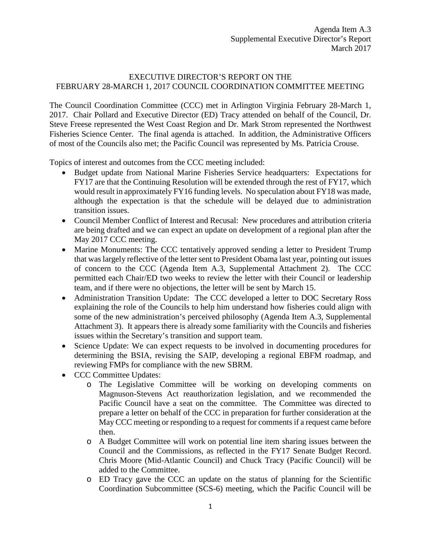## EXECUTIVE DIRECTOR'S REPORT ON THE FEBRUARY 28-MARCH 1, 2017 COUNCIL COORDINATION COMMITTEE MEETING

The Council Coordination Committee (CCC) met in Arlington Virginia February 28-March 1, 2017. Chair Pollard and Executive Director (ED) Tracy attended on behalf of the Council, Dr. Steve Freese represented the West Coast Region and Dr. Mark Strom represented the Northwest Fisheries Science Center. The final agenda is attached. In addition, the Administrative Officers of most of the Councils also met; the Pacific Council was represented by Ms. Patricia Crouse.

Topics of interest and outcomes from the CCC meeting included:

- Budget update from National Marine Fisheries Service headquarters: Expectations for FY17 are that the Continuing Resolution will be extended through the rest of FY17, which would result in approximately FY16 funding levels. No speculation about FY18 was made, although the expectation is that the schedule will be delayed due to administration transition issues.
- Council Member Conflict of Interest and Recusal: New procedures and attribution criteria are being drafted and we can expect an update on development of a regional plan after the May 2017 CCC meeting.
- Marine Monuments: The CCC tentatively approved sending a letter to President Trump that was largely reflective of the letter sent to President Obama last year, pointing out issues of concern to the CCC (Agenda Item A.3, Supplemental Attachment 2). The CCC permitted each Chair/ED two weeks to review the letter with their Council or leadership team, and if there were no objections, the letter will be sent by March 15.
- Administration Transition Update: The CCC developed a letter to DOC Secretary Ross explaining the role of the Councils to help him understand how fisheries could align with some of the new administration's perceived philosophy (Agenda Item A.3, Supplemental Attachment 3). It appears there is already some familiarity with the Councils and fisheries issues within the Secretary's transition and support team.
- Science Update: We can expect requests to be involved in documenting procedures for determining the BSIA, revising the SAIP, developing a regional EBFM roadmap, and reviewing FMPs for compliance with the new SBRM.
- CCC Committee Updates:
	- o The Legislative Committee will be working on developing comments on Magnuson-Stevens Act reauthorization legislation, and we recommended the Pacific Council have a seat on the committee. The Committee was directed to prepare a letter on behalf of the CCC in preparation for further consideration at the May CCC meeting or responding to a request for comments if a request came before then.
	- o A Budget Committee will work on potential line item sharing issues between the Council and the Commissions, as reflected in the FY17 Senate Budget Record. Chris Moore (Mid-Atlantic Council) and Chuck Tracy (Pacific Council) will be added to the Committee.
	- o ED Tracy gave the CCC an update on the status of planning for the Scientific Coordination Subcommittee (SCS-6) meeting, which the Pacific Council will be